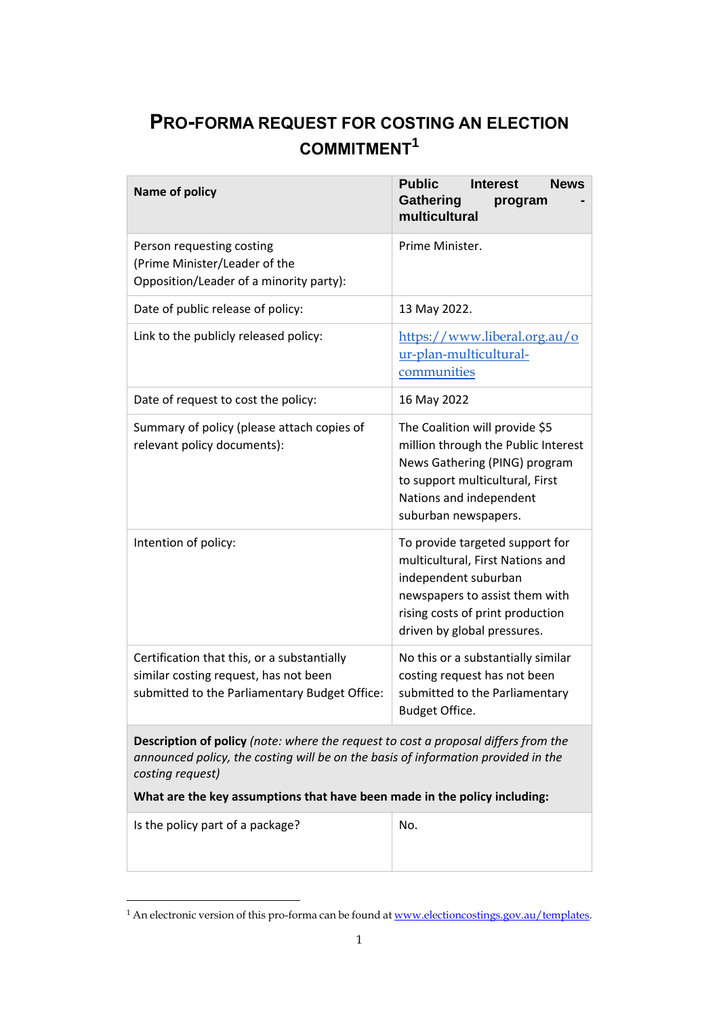## **PRO-FORMA REQUEST FOR COSTING AN ELECTION COMMITMENT<sup>1</sup>**

| Name of policy                                                                                                                                                                                                                                                                  | <b>Public</b><br><b>Interest</b><br><b>News</b><br>Gathering<br>program<br>multicultural                                                                                                         |
|---------------------------------------------------------------------------------------------------------------------------------------------------------------------------------------------------------------------------------------------------------------------------------|--------------------------------------------------------------------------------------------------------------------------------------------------------------------------------------------------|
| Person requesting costing<br>(Prime Minister/Leader of the<br>Opposition/Leader of a minority party):                                                                                                                                                                           | Prime Minister.                                                                                                                                                                                  |
| Date of public release of policy:                                                                                                                                                                                                                                               | 13 May 2022.                                                                                                                                                                                     |
| Link to the publicly released policy:                                                                                                                                                                                                                                           | https://www.liberal.org.au/o<br>ur-plan-multicultural-<br>communities                                                                                                                            |
| Date of request to cost the policy:                                                                                                                                                                                                                                             | 16 May 2022                                                                                                                                                                                      |
| Summary of policy (please attach copies of<br>relevant policy documents):                                                                                                                                                                                                       | The Coalition will provide \$5<br>million through the Public Interest<br>News Gathering (PING) program<br>to support multicultural, First<br>Nations and independent<br>suburban newspapers.     |
| Intention of policy:                                                                                                                                                                                                                                                            | To provide targeted support for<br>multicultural, First Nations and<br>independent suburban<br>newspapers to assist them with<br>rising costs of print production<br>driven by global pressures. |
| Certification that this, or a substantially<br>similar costing request, has not been<br>submitted to the Parliamentary Budget Office:                                                                                                                                           | No this or a substantially similar<br>costing request has not been<br>submitted to the Parliamentary<br>Budget Office.                                                                           |
| <b>Description of policy</b> (note: where the request to cost a proposal differs from the<br>announced policy, the costing will be on the basis of information provided in the<br>costing request)<br>What are the key assumptions that have been made in the policy including: |                                                                                                                                                                                                  |
| Is the policy part of a package?                                                                                                                                                                                                                                                | No.                                                                                                                                                                                              |

<sup>&</sup>lt;sup>1</sup> An electronic version of this pro-forma can be found at <u>www.electioncostings.gov.au/templates</u>.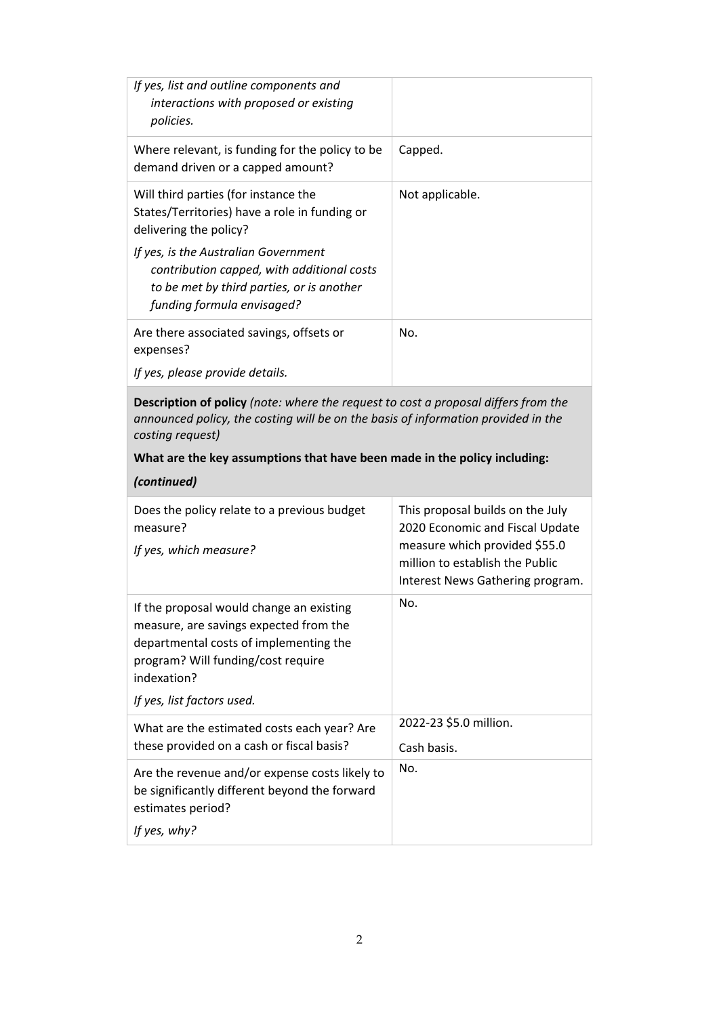| If yes, list and outline components and<br>interactions with proposed or existing<br>policies.                                                                |                 |
|---------------------------------------------------------------------------------------------------------------------------------------------------------------|-----------------|
| Where relevant, is funding for the policy to be<br>demand driven or a capped amount?                                                                          | Capped.         |
| Will third parties (for instance the<br>States/Territories) have a role in funding or<br>delivering the policy?                                               | Not applicable. |
| If yes, is the Australian Government<br>contribution capped, with additional costs<br>to be met by third parties, or is another<br>funding formula envisaged? |                 |
| Are there associated savings, offsets or<br>expenses?<br>If yes, please provide details.                                                                      | No.             |

**Description of policy** *(note: where the request to cost a proposal differs from the announced policy, the costing will be on the basis of information provided in the costing request)* 

## **What are the key assumptions that have been made in the policy including:**

*(continued)*

| Does the policy relate to a previous budget<br>measure?<br>If yes, which measure?                                                                                                                               | This proposal builds on the July<br>2020 Economic and Fiscal Update<br>measure which provided \$55.0<br>million to establish the Public<br>Interest News Gathering program. |
|-----------------------------------------------------------------------------------------------------------------------------------------------------------------------------------------------------------------|-----------------------------------------------------------------------------------------------------------------------------------------------------------------------------|
| If the proposal would change an existing<br>measure, are savings expected from the<br>departmental costs of implementing the<br>program? Will funding/cost require<br>indexation?<br>If yes, list factors used. | No.                                                                                                                                                                         |
| What are the estimated costs each year? Are<br>these provided on a cash or fiscal basis?                                                                                                                        | 2022-23 \$5.0 million.<br>Cash basis.                                                                                                                                       |
| Are the revenue and/or expense costs likely to<br>be significantly different beyond the forward<br>estimates period?<br>If yes, why?                                                                            | No.                                                                                                                                                                         |
|                                                                                                                                                                                                                 |                                                                                                                                                                             |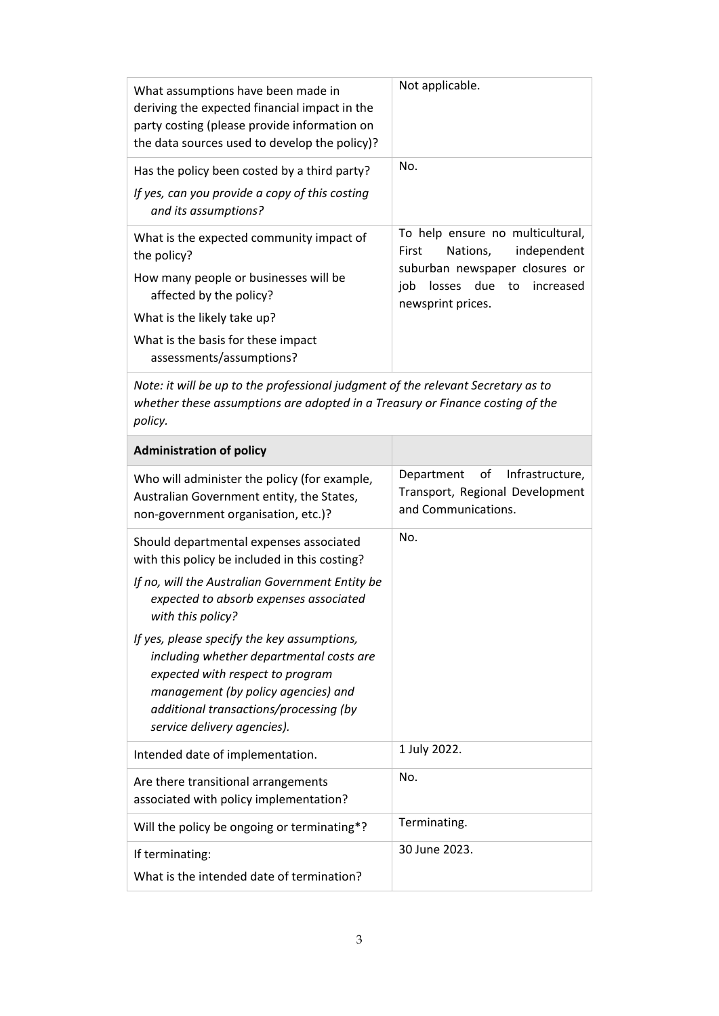| What assumptions have been made in<br>deriving the expected financial impact in the<br>party costing (please provide information on<br>the data sources used to develop the policy)?                                                                                                                                                                                                                                                                      | Not applicable.                                                                                                                                                        |  |
|-----------------------------------------------------------------------------------------------------------------------------------------------------------------------------------------------------------------------------------------------------------------------------------------------------------------------------------------------------------------------------------------------------------------------------------------------------------|------------------------------------------------------------------------------------------------------------------------------------------------------------------------|--|
| Has the policy been costed by a third party?<br>If yes, can you provide a copy of this costing<br>and its assumptions?                                                                                                                                                                                                                                                                                                                                    | No.                                                                                                                                                                    |  |
| What is the expected community impact of<br>the policy?<br>How many people or businesses will be<br>affected by the policy?<br>What is the likely take up?<br>What is the basis for these impact<br>assessments/assumptions?                                                                                                                                                                                                                              | To help ensure no multicultural,<br>independent<br>Nations,<br>First<br>suburban newspaper closures or<br>losses<br>due<br>job<br>to<br>increased<br>newsprint prices. |  |
| Note: it will be up to the professional judgment of the relevant Secretary as to<br>whether these assumptions are adopted in a Treasury or Finance costing of the<br>policy.                                                                                                                                                                                                                                                                              |                                                                                                                                                                        |  |
| <b>Administration of policy</b>                                                                                                                                                                                                                                                                                                                                                                                                                           |                                                                                                                                                                        |  |
| Who will administer the policy (for example,<br>Australian Government entity, the States,<br>non-government organisation, etc.)?                                                                                                                                                                                                                                                                                                                          | Infrastructure,<br>Department<br>οf<br>Transport, Regional Development<br>and Communications.                                                                          |  |
| Should departmental expenses associated<br>with this policy be included in this costing?<br>If no, will the Australian Government Entity be<br>expected to absorb expenses associated<br>with this policy?<br>If yes, please specify the key assumptions,<br>including whether departmental costs are<br>expected with respect to program<br>management (by policy agencies) and<br>additional transactions/processing (by<br>service delivery agencies). | No.                                                                                                                                                                    |  |
| Intended date of implementation.                                                                                                                                                                                                                                                                                                                                                                                                                          | 1 July 2022.                                                                                                                                                           |  |
| Are there transitional arrangements<br>associated with policy implementation?                                                                                                                                                                                                                                                                                                                                                                             | No.                                                                                                                                                                    |  |
| Will the policy be ongoing or terminating*?<br>If terminating:<br>What is the intended date of termination?                                                                                                                                                                                                                                                                                                                                               | Terminating.<br>30 June 2023.                                                                                                                                          |  |